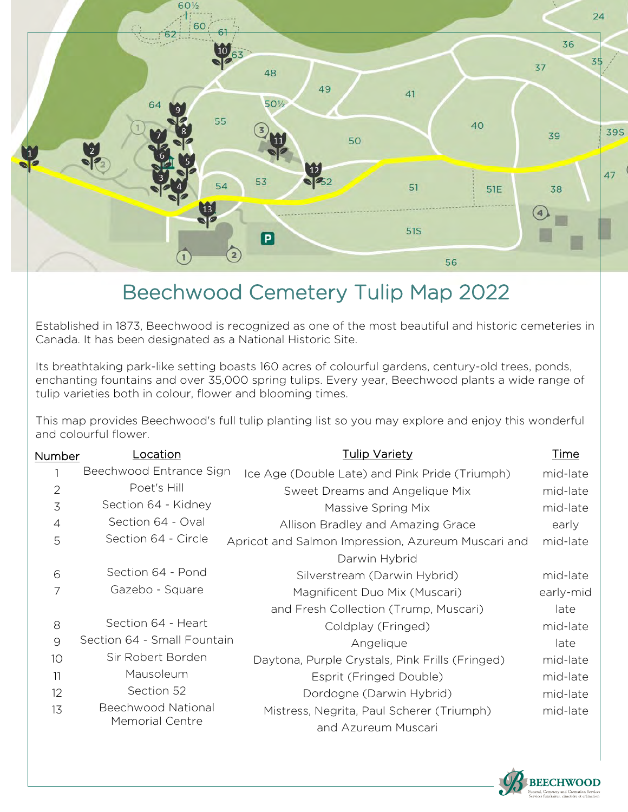

## Beechwood Cemetery Tulip Map 2022

Established in 1873, Beechwood is recognized as one of the most beautiful and historic cemeteries in Canada. It has been designated as a National Historic Site.

Its breathtaking park-like setting boasts 160 acres of colourful gardens, century-old trees, ponds, enchanting fountains and over 35,000 spring tulips. Every year, Beechwood plants a wide range of tulip varieties both in colour, flower and blooming times.

This map provides Beechwood's full tulip planting list so you may explore and enjoy this wonderful and colourful flower.

| Number         | Location                                     | Tulip Variety                                      | Time      |
|----------------|----------------------------------------------|----------------------------------------------------|-----------|
|                | Beechwood Entrance Sign                      | Ice Age (Double Late) and Pink Pride (Triumph)     | mid-late  |
| $\overline{2}$ | Poet's Hill                                  | Sweet Dreams and Angelique Mix                     | mid-late  |
| 3              | Section 64 - Kidney                          | Massive Spring Mix                                 | mid-late  |
| $\overline{4}$ | Section 64 - Oval                            | Allison Bradley and Amazing Grace                  | early     |
| 5              | Section 64 - Circle                          | Apricot and Salmon Impression, Azureum Muscari and | mid-late  |
|                |                                              | Darwin Hybrid                                      |           |
| 6              | Section 64 - Pond                            | Silverstream (Darwin Hybrid)                       | mid-late  |
| 7              | Gazebo - Square                              | Magnificent Duo Mix (Muscari)                      | early-mid |
|                |                                              | and Fresh Collection (Trump, Muscari)              | late      |
| 8              | Section 64 - Heart                           | Coldplay (Fringed)                                 | mid-late  |
| 9              | Section 64 - Small Fountain                  | Angelique                                          | late      |
| 10             | Sir Robert Borden                            | Daytona, Purple Crystals, Pink Frills (Fringed)    | mid-late  |
| 11             | Mausoleum                                    | Esprit (Fringed Double)                            | mid-late  |
| 12             | Section 52                                   | Dordogne (Darwin Hybrid)                           | mid-late  |
| 13             | Beechwood National<br><b>Memorial Centre</b> | Mistress, Negrita, Paul Scherer (Triumph)          | mid-late  |
|                |                                              | and Azureum Muscari                                |           |
|                |                                              |                                                    |           |